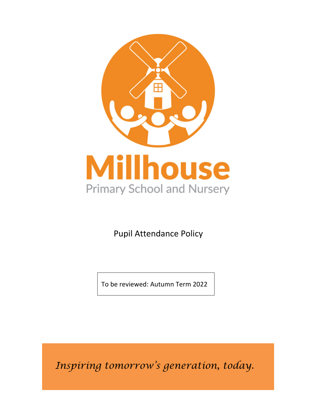

Pupil Attendance Policy

To be reviewed: Autumn Term 2022

*Inspiring tomorrow's generation, today.*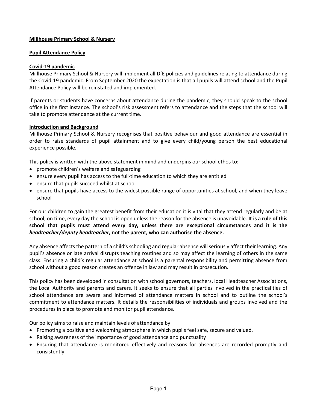## **Millhouse Primary School & Nursery**

### **Pupil Attendance Policy**

### **Covid-19 pandemic**

Millhouse Primary School & Nursery will implement all DfE policies and guidelines relating to attendance during the Covid-19 pandemic. From September 2020 the expectation is that all pupils will attend school and the Pupil Attendance Policy will be reinstated and implemented.

If parents or students have concerns about attendance during the pandemic, they should speak to the school office in the first instance. The school's risk assessment refers to attendance and the steps that the school will take to promote attendance at the current time.

## **Introduction and Background**

Millhouse Primary School & Nursery recognises that positive behaviour and good attendance are essential in order to raise standards of pupil attainment and to give every child/young person the best educational experience possible.

This policy is written with the above statement in mind and underpins our school ethos to:

- promote children's welfare and safeguarding
- ensure every pupil has access to the full-time education to which they are entitled
- ensure that pupils succeed whilst at school
- ensure that pupils have access to the widest possible range of opportunities at school, and when they leave school

For our children to gain the greatest benefit from their education it is vital that they attend regularly and be at school, on time, every day the school is open unless the reason for the absence is unavoidable. **It is a rule of this school that pupils must attend every day, unless there are exceptional circumstances and it is the**  *headteacher/deputy headteacher***, not the parent, who can authorise the absence.**

Any absence affects the pattern of a child's schooling and regular absence will seriously affect their learning. Any pupil's absence or late arrival disrupts teaching routines and so may affect the learning of others in the same class. Ensuring a child's regular attendance at school is a parental responsibility and permitting absence from school without a good reason creates an offence in law and may result in prosecution.

This policy has been developed in consultation with school governors, teachers, local Headteacher Associations, the Local Authority and parents and carers. It seeks to ensure that all parties involved in the practicalities of school attendance are aware and informed of attendance matters in school and to outline the school's commitment to attendance matters. It details the responsibilities of individuals and groups involved and the procedures in place to promote and monitor pupil attendance.

Our policy aims to raise and maintain levels of attendance by:

- Promoting a positive and welcoming atmosphere in which pupils feel safe, secure and valued.
- Raising awareness of the importance of good attendance and punctuality
- Ensuring that attendance is monitored effectively and reasons for absences are recorded promptly and consistently.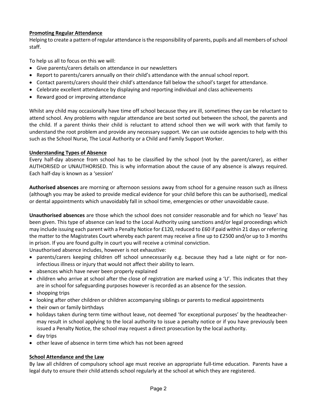# **Promoting Regular Attendance**

Helping to create a pattern of regular attendance is the responsibility of parents, pupils and all members of school staff.

To help us all to focus on this we will:

- Give parents/carers details on attendance in our newsletters
- Report to parents/carers annually on their child's attendance with the annual school report.
- Contact parents/carers should their child's attendance fall below the school's target for attendance.
- Celebrate excellent attendance by displaying and reporting individual and class achievements
- Reward good or improving attendance

Whilst any child may occasionally have time off school because they are ill, sometimes they can be reluctant to attend school. Any problems with regular attendance are best sorted out between the school, the parents and the child. If a parent thinks their child is reluctant to attend school then we will work with that family to understand the root problem and provide any necessary support. We can use outside agencies to help with this such as the School Nurse, The Local Authority or a Child and Family Support Worker.

# **Understanding Types of Absence**

Every half-day absence from school has to be classified by the school (not by the parent/carer), as either AUTHORISED or UNAUTHORISED. This is why information about the cause of any absence is always required. Each half-day is known as a 'session'

**Authorised absences** are morning or afternoon sessions away from school for a genuine reason such as illness (although you may be asked to provide medical evidence for your child before this can be authorised), medical or dental appointments which unavoidably fall in school time, emergencies or other unavoidable cause.

**Unauthorised absences** are those which the school does not consider reasonable and for which no 'leave' has been given. This type of absence can lead to the Local Authority using sanctions and/or legal proceedings which may include issuing each parent with a Penalty Notice for £120, reduced to £60 if paid within 21 days or referring the matter to the Magistrates Court whereby each parent may receive a fine up to £2500 and/or up to 3 months in prison. If you are found guilty in court you will receive a criminal conviction.

Unauthorised absence includes, however is not exhaustive:

- parents/carers keeping children off school unnecessarily e.g. because they had a late night or for noninfectious illness or injury that would not affect their ability to learn.
- absences which have never been properly explained
- children who arrive at school after the close of registration are marked using a 'U'. This indicates that they are in school for safeguarding purposes however is recorded as an absence for the session.
- shopping trips
- looking after other children or children accompanying siblings or parents to medical appointments
- their own or family birthdays
- holidays taken during term time without leave, not deemed 'for exceptional purposes' by the headteachermay result in school applying to the local authority to issue a penalty notice or if you have previously been issued a Penalty Notice, the school may request a direct prosecution by the local authority.
- day trips
- other leave of absence in term time which has not been agreed

# **School Attendance and the Law**

By law all children of compulsory school age must receive an appropriate full-time education. Parents have a legal duty to ensure their child attends school regularly at the school at which they are registered.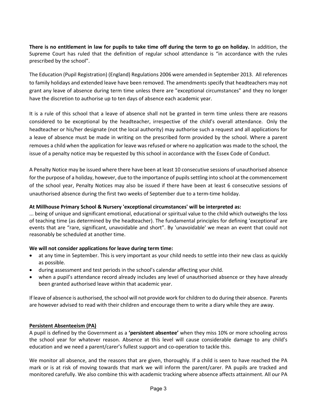**There is no entitlement in law for pupils to take time off during the term to go on holiday.** In addition, the Supreme Court has ruled that the definition of regular school attendance is "in accordance with the rules prescribed by the school".

The Education (Pupil Registration) (England) Regulations 2006 were amended in September 2013. All references to family holidays and extended leave have been removed. The amendments specify that headteachers may not grant any leave of absence during term time unless there are "exceptional circumstances" and they no longer have the discretion to authorise up to ten days of absence each academic year.

It is a rule of this school that a leave of absence shall not be granted in term time unless there are reasons considered to be exceptional by the headteacher, irrespective of the child's overall attendance. Only the headteacher or his/her designate (not the local authority) may authorise such a request and all applications for a leave of absence must be made in writing on the prescribed form provided by the school. Where a parent removes a child when the application for leave was refused or where no application was made to the school, the issue of a penalty notice may be requested by this school in accordance with the Essex Code of Conduct.

A Penalty Notice may be issued where there have been at least 10 consecutive sessions of unauthorised absence for the purpose of a holiday, however, due to the importance of pupils settling into school at the commencement of the school year, Penalty Notices may also be issued if there have been at least 6 consecutive sessions of unauthorised absence during the first two weeks of September due to a term-time holiday.

### **At Millhouse Primary School & Nursery 'exceptional circumstances' will be interpreted as:**

... being of unique and significant emotional, educational or spiritual value to the child which outweighs the loss of teaching time (as determined by the headteacher). The fundamental principles for defining 'exceptional' are events that are "rare, significant, unavoidable and short". By 'unavoidable' we mean an event that could not reasonably be scheduled at another time.

# **We will not consider applications for leave during term time:**

- at any time in September. This is very important as your child needs to settle into their new class as quickly as possible.
- during assessment and test periods in the school's calendar affecting your child.
- when a pupil's attendance record already includes any level of unauthorised absence or they have already been granted authorised leave within that academic year.

If leave of absence is authorised, the school will not provide work for children to do during their absence. Parents are however advised to read with their children and encourage them to write a diary while they are away.

#### **Persistent Absenteeism (PA)**

A pupil is defined by the Government as a **'persistent absentee'** when they miss 10% or more schooling across the school year for whatever reason. Absence at this level will cause considerable damage to any child's education and we need a parent/carer's fullest support and co-operation to tackle this.

We monitor all absence, and the reasons that are given, thoroughly. If a child is seen to have reached the PA mark or is at risk of moving towards that mark we will inform the parent/carer. PA pupils are tracked and monitored carefully. We also combine this with academic tracking where absence affects attainment. All our PA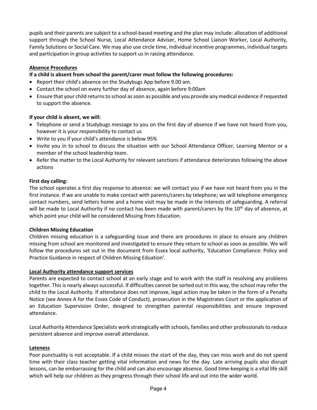pupils and their parents are subject to a school-based meeting and the plan may include: allocation of additional support through the School Nurse, Local Attendance Adviser, Home School Liaison Worker, Local Authority, Family Solutions or Social Care. We may also use circle time, individual incentive programmes, individual targets and participation in group activities to support us in raising attendance.

## **Absence Procedures**

## **If a child is absent from school the parent/carer must follow the following procedures:**

- Report their child's absence on the Studybugs App before 9.00 am.
- Contact the school on every further day of absence, again before 9:00am
- Ensure that your child returns to school as soon as possible and you provide any medical evidence if requested to support the absence.

#### **If your child is absent, we will:**

- Telephone or send a Studybugs message to you on the first day of absence if we have not heard from you, however it is your responsibility to contact us
- Write to you if your child's attendance is below 95%
- Invite you in to school to discuss the situation with our School Attendance Officer, Learning Mentor or a member of the school leadership team.
- Refer the matter to the Local Authority for relevant sanctions if attendance deteriorates following the above actions

#### **First day calling:**

The school operates a first day response to absence: we will contact you if we have not heard from you in the first instance. If we are unable to make contact with parents/carers by telephone; we will telephone emergency contact numbers, send letters home and a home visit may be made in the interests of safeguarding. A referral will be made to Local Authority if no contact has been made with parent/carers by the 10<sup>th</sup> day of absence, at which point your child will be considered Missing from Education.

#### **Children Missing Education**

Children missing education is a safeguarding issue and there are procedures in place to ensure any children missing from school are monitored and investigated to ensure they return to school as soon as possible. We will follow the procedures set out in the document from Essex local authority, 'Education Compliance: Policy and Practice Guidance in respect of Children Missing Eduation'.

#### **Local Authority attendance support services**

Parents are expected to contact school at an early stage and to work with the staff in resolving any problems together. This is nearly always successful. If difficulties cannot be sorted out in this way, the school may refer the child to the Local Authority. If attendance does not improve, legal action may be taken in the form of a Penalty Notice (see Annex A for the Essex Code of Conduct), prosecution in the Magistrates Court or the application of an Education Supervision Order, designed to strengthen parental responsibilities and ensure improved attendance.

Local Authority Attendance Specialists work strategically with schools, families and other professionals to reduce persistent absence and improve overall attendance.

#### **Lateness**

Poor punctuality is not acceptable. If a child misses the start of the day, they can miss work and do not spend time with their class teacher getting vital information and news for the day. Late arriving pupils also disrupt lessons, can be embarrassing for the child and can also encourage absence. Good time-keeping is a vital life skill which will help our children as they progress through their school life and out into the wider world.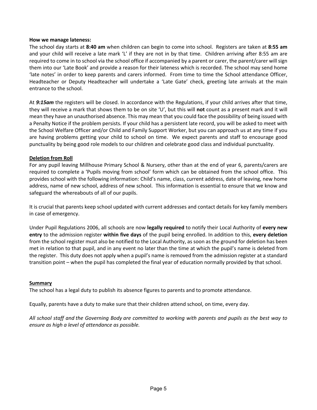#### **How we manage lateness:**

The school day starts at **8:40 am** when children can begin to come into school. Registers are taken at **8:55 am** and your child will receive a late mark 'L' if they are not in by that time. Children arriving after 8:55 am are required to come in to school via the school office if accompanied by a parent or carer, the parent/carer will sign them into our 'Late Book' and provide a reason for their lateness which is recorded. The school may send home 'late notes' in order to keep parents and carers informed. From time to time the School attendance Officer, Headteacher or Deputy Headteacher will undertake a 'Late Gate' check, greeting late arrivals at the main entrance to the school.

At *9:15am* the registers will be closed. In accordance with the Regulations, if your child arrives after that time, they will receive a mark that shows them to be on site 'U', but this will **not** count as a present mark and it will mean they have an unauthorised absence. This may mean that you could face the possibility of being issued with a Penalty Notice if the problem persists. If your child has a persistent late record, you will be asked to meet with the School Welfare Officer and/or Child and Family Support Worker, but you can approach us at any time if you are having problems getting your child to school on time. We expect parents and staff to encourage good punctuality by being good role models to our children and celebrate good class and individual punctuality.

#### **Deletion from Roll**

For any pupil leaving Millhouse Primary School & Nursery, other than at the end of year 6, parents/carers are required to complete a 'Pupils moving from school' form which can be obtained from the school office. This provides school with the following information: Child's name, class, current address, date of leaving, new home address, name of new school, address of new school. This information is essential to ensure that we know and safeguard the whereabouts of all of our pupils.

It is crucial that parents keep school updated with current addresses and contact details for key family members in case of emergency.

Under Pupil Regulations 2006, all schools are now **legally required** to notify their Local Authority of **every new entry** to the admission register **within five days** of the pupil being enrolled. In addition to this, **every deletion** from the school register must also be notified to the Local Authority, as soon as the ground for deletion has been met in relation to that pupil, and in any event no later than the time at which the pupil's name is deleted from the register. This duty does not apply when a pupil's name is removed from the admission register at a standard transition point – when the pupil has completed the final year of education normally provided by that school.

#### **Summary**

The school has a legal duty to publish its absence figures to parents and to promote attendance.

Equally, parents have a duty to make sure that their children attend school, on time, every day.

*All school staff and the Governing Body are committed to working with parents and pupils as the best way to ensure as high a level of attendance as possible.*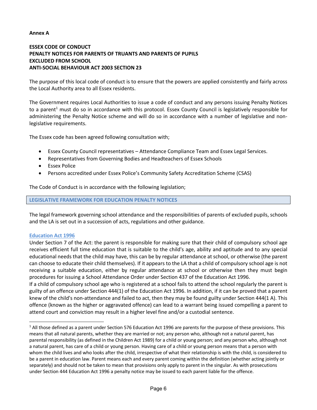#### **Annex A**

# **ESSEX CODE OF CONDUCT PENALTY NOTICES FOR PARENTS OF TRUANTS AND PARENTS OF PUPILS EXCLUDED FROM SCHOOL ANTI-SOCIAL BEHAVIOUR ACT 2003 SECTION 23**

The purpose of this local code of conduct is to ensure that the powers are applied consistently and fairly across the Local Authority area to all Essex residents.

The Government requires Local Authorities to issue a code of conduct and any persons issuing Penalty Notices to a parent<sup>1</sup> must do so in accordance with this protocol. Essex County Council is legislatively responsible for administering the Penalty Notice scheme and will do so in accordance with a number of legislative and nonlegislative requirements.

The Essex code has been agreed following consultation with;

- Essex County Council representatives Attendance Compliance Team and Essex Legal Services.
- Representatives from Governing Bodies and Headteachers of Essex Schools
- Essex Police
- Persons accredited under Essex Police's Community Safety Accreditation Scheme (CSAS)

The Code of Conduct is in accordance with the following legislation;

**LEGISLATIVE FRAMEWORK FOR EDUCATION PENALTY NOTICES** 

The legal framework governing school attendance and the responsibilities of parents of excluded pupils, schools and the LA is set out in a succession of acts, regulations and other guidance.

#### **Education Act 1996**

Under Section 7 of the Act: the parent is responsible for making sure that their child of compulsory school age receives efficient full time education that is suitable to the child's age, ability and aptitude and to any special educational needs that the child may have, this can be by regular attendance at school, or otherwise (the parent can choose to educate their child themselves). If it appears to the LA that a child of compulsory school age is not receiving a suitable education, either by regular attendance at school or otherwise then they must begin procedures for issuing a School Attendance Order under Section 437 of the Education Act 1996.

If a child of compulsory school age who is registered at a school fails to attend the school regularly the parent is guilty of an offence under Section 444(1) of the Education Act 1996. In addition, if it can be proved that a parent knew of the child's non-attendance and failed to act, then they may be found guilty under Section 444(1 A). This offence (known as the higher or aggravated offence) can lead to a warrant being issued compelling a parent to attend court and conviction may result in a higher level fine and/or a custodial sentence.

<sup>&</sup>lt;sup>1</sup> All those defined as a parent under Section 576 Education Act 1996 are parents for the purpose of these provisions. This means that all natural parents, whether they are married or not; any person who, although not a natural parent, has parental responsibility (as defined in the Children Act 1989) for a child or young person; and any person who, although not a natural parent, has care of a child or young person. Having care of a child or young person means that a person with whom the child lives and who looks after the child, irrespective of what their relationship is with the child, is considered to be a parent in education law. Parent means each and every parent coming within the definition (whether acting jointly or separately) and should not be taken to mean that provisions only apply to parent in the singular. As with prosecutions under Section 444 Education Act 1996 a penalty notice may be issued to each parent liable for the offence.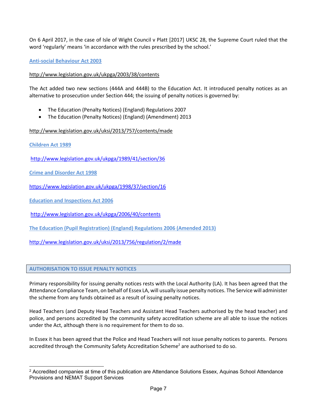On 6 April 2017, in the case of Isle of Wight Council v Platt [2017] UKSC 28, the Supreme Court ruled that the word 'regularly' means 'in accordance with the rules prescribed by the school.'

**Anti-social Behaviour Act 2003**

## http://www.legislation.gov.uk/ukpga/2003/38/contents

The Act added two new sections (444A and 444B) to the Education Act. It introduced penalty notices as an alternative to prosecution under Section 444; the issuing of penalty notices is governed by:

- The Education (Penalty Notices) (England) Regulations 2007
- The Education (Penalty Notices) (England) (Amendment) 2013

# http://www.legislation.gov.uk/uksi/2013/757/contents/made

**Children Act 1989** 

http://www.legislation.gov.uk/ukpga/1989/41/section/36

**Crime and Disorder Act 1998** 

https://www.legislation.gov.uk/ukpga/1998/37/section/16

**Education and Inspections Act 2006** 

http://www.legislation.gov.uk/ukpga/2006/40/contents

**The Education (Pupil Registration) (England) Regulations 2006 (Amended 2013)**

http://www.legislation.gov.uk/uksi/2013/756/regulation/2/made

#### **AUTHORISATION TO ISSUE PENALTY NOTICES**

Primary responsibility for issuing penalty notices rests with the Local Authority (LA). It has been agreed that the Attendance Compliance Team, on behalf of Essex LA, will usually issue penalty notices. The Service will administer the scheme from any funds obtained as a result of issuing penalty notices.

Head Teachers (and Deputy Head Teachers and Assistant Head Teachers authorised by the head teacher) and police, and persons accredited by the community safety accreditation scheme are all able to issue the notices under the Act, although there is no requirement for them to do so.

In Essex it has been agreed that the Police and Head Teachers will not issue penalty notices to parents. Persons accredited through the Community Safety Accreditation Scheme<sup>2</sup> are authorised to do so.

<sup>&</sup>lt;sup>2</sup> Accredited companies at time of this publication are Attendance Solutions Essex, Aquinas School Attendance Provisions and NEMAT Support Services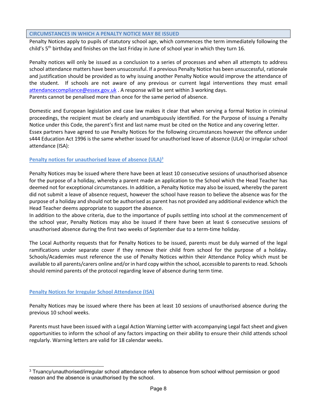#### **CIRCUMSTANCES IN WHICH A PENALTY NOTICE MAY BE ISSUED**

Penalty Notices apply to pupils of statutory school age, which commences the term immediately following the child's 5<sup>th</sup> birthday and finishes on the last Friday in June of school year in which they turn 16.

Penalty notices will only be issued as a conclusion to a series of processes and when all attempts to address school attendance matters have been unsuccessful. If a previous Penalty Notice has been unsuccessful, rationale and justification should be provided as to why issuing another Penalty Notice would improve the attendance of the student. If schools are not aware of any previous or current legal interventions they must email attendancecompliance@essex.gov.uk . A response will be sent within 3 working days. Parents cannot be penalised more than once for the same period of absence.

Domestic and European legislation and case law makes it clear that when serving a formal Notice in criminal proceedings, the recipient must be clearly and unambiguously identified. For the Purpose of issuing a Penalty Notice under this Code, the parent's first and last name must be cited on the Notice and any covering letter. Essex partners have agreed to use Penalty Notices for the following circumstances however the offence under s444 Education Act 1996 is the same whether issued for unauthorised leave of absence (ULA) or irregular school attendance (ISA):

## **Penalty notices for unauthorised leave of absence (ULA)3**

Penalty Notices may be issued where there have been at least 10 consecutive sessions of unauthorised absence for the purpose of a holiday, whereby a parent made an application to the School which the Head Teacher has deemed not for exceptional circumstances. In addition, a Penalty Notice may also be issued, whereby the parent did not submit a leave of absence request, however the school have reason to believe the absence was for the purpose of a holiday and should not be authorised as parent has not provided any additional evidence which the Head Teacher deems appropriate to support the absence.

In addition to the above criteria, due to the importance of pupils settling into school at the commencement of the school year, Penalty Notices may also be issued if there have been at least 6 consecutive sessions of unauthorised absence during the first two weeks of September due to a term-time holiday.

The Local Authority requests that for Penalty Notices to be issued, parents must be duly warned of the legal ramifications under separate cover if they remove their child from school for the purpose of a holiday. Schools/Academies must reference the use of Penalty Notices within their Attendance Policy which must be available to all parents/carers online and/or in hard copy within the school, accessible to parents to read. Schools should remind parents of the protocol regarding leave of absence during term time.

#### **Penalty Notices for Irregular School Attendance (ISA)**

Penalty Notices may be issued where there has been at least 10 sessions of unauthorised absence during the previous 10 school weeks.

Parents must have been issued with a Legal Action Warning Letter with accompanying Legal fact sheet and given opportunities to inform the school of any factors impacting on their ability to ensure their child attends school regularly. Warning letters are valid for 18 calendar weeks.

<sup>&</sup>lt;sup>3</sup> Truancy/unauthorised/irregular school attendance refers to absence from school without permission or good reason and the absence is unauthorised by the school.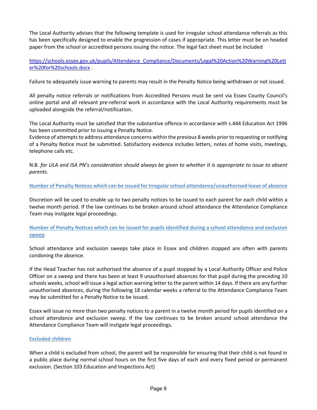The Local Authority advises that the following template is used for irregular school attendance referrals as this has been specifically designed to enable the progression of cases if appropriate. This letter must be on headed paper from the school or accredited persons issuing the notice. The legal fact sheet must be included

https://schools.essex.gov.uk/pupils/Attendance\_Compliance/Documents/Legal%20Action%20Warning%20Lett er%20for%20schools.docx .

Failure to adequately issue warning to parents may result in the Penalty Notice being withdrawn or not issued.

All penalty notice referrals or notifications from Accredited Persons must be sent via Essex County Council's online portal and all relevant pre-referral work in accordance with the Local Authority requirements must be uploaded alongside the referral/notification.

The Local Authority must be satisfied that the substantive offence in accordance with s.444 Education Act 1996 has been committed prior to issuing a Penalty Notice.

Evidence of attempts to address attendance concerns within the previous 8 weeks prior to requesting or notifying of a Penalty Notice must be submitted. Satisfactory evidence includes letters, notes of home visits, meetings, telephone calls etc.

N.B. *for ULA and ISA PN's consideration should always be given to whether it is appropriate to issue to absent parents.*

**Number of Penalty Notices which can be issued for Irregular school attendance/unauthorised leave of absence**

Discretion will be used to enable up to two penalty notices to be issued to each parent for each child within a twelve month period. If the law continues to be broken around school attendance the Attendance Compliance Team may instigate legal proceedings.

**Number of Penalty Notices which can be issued for pupils identified during a school attendance and exclusion sweep** 

School attendance and exclusion sweeps take place in Essex and children stopped are often with parents condoning the absence.

If the Head Teacher has not authorised the absence of a pupil stopped by a Local Authority Officer and Police Officer on a sweep and there has been at least 9 unauthorised absences for that pupil during the preceding 10 schools weeks, school will issue a legal action warning letter to the parent within 14 days. If there are any further unauthorised absences, during the following 18 calendar weeks a referral to the Attendance Compliance Team may be submitted for a Penalty Notice to be issued.

Essex will issue no more than two penalty notices to a parent in a twelve month period for pupils identified on a school attendance and exclusion sweep. If the law continues to be broken around school attendance the Attendance Compliance Team will instigate legal proceedings.

#### **Excluded children**

When a child is excluded from school, the parent will be responsible for ensuring that their child is not found in a public place during normal school hours on the first five days of each and every fixed period or permanent exclusion. (Section 103 Education and Inspections Act)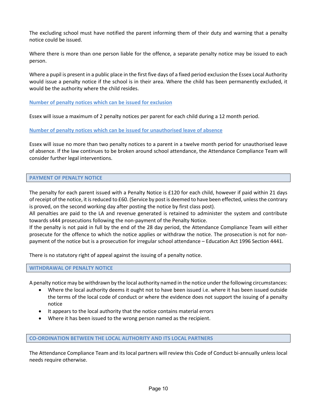The excluding school must have notified the parent informing them of their duty and warning that a penalty notice could be issued.

Where there is more than one person liable for the offence, a separate penalty notice may be issued to each person.

Where a pupil is present in a public place in the first five days of a fixed period exclusion the Essex Local Authority would issue a penalty notice if the school is in their area. Where the child has been permanently excluded, it would be the authority where the child resides.

### **Number of penalty notices which can be issued for exclusion**

Essex will issue a maximum of 2 penalty notices per parent for each child during a 12 month period.

#### **Number of penalty notices which can be issued for unauthorised leave of absence**

Essex will issue no more than two penalty notices to a parent in a twelve month period for unauthorised leave of absence. If the law continues to be broken around school attendance, the Attendance Compliance Team will consider further legal interventions.

#### **PAYMENT OF PENALTY NOTICE**

The penalty for each parent issued with a Penalty Notice is £120 for each child, however if paid within 21 days of receipt of the notice, it is reduced to £60. (Service by post is deemed to have been effected, unless the contrary is proved, on the second working day after posting the notice by first class post).

All penalties are paid to the LA and revenue generated is retained to administer the system and contribute towards s444 prosecutions following the non-payment of the Penalty Notice.

If the penalty is not paid in full by the end of the 28 day period, the Attendance Compliance Team will either prosecute for the offence to which the notice applies or withdraw the notice. The prosecution is not for nonpayment of the notice but is a prosecution for irregular school attendance – Education Act 1996 Section 4441.

There is no statutory right of appeal against the issuing of a penalty notice.

#### **WITHDRAWAL OF PENALTY NOTICE**

A penalty notice may be withdrawn by the local authority named in the notice under the following circumstances:

- Where the local authority deems it ought not to have been issued i.e. where it has been issued outside the terms of the local code of conduct or where the evidence does not support the issuing of a penalty notice
- It appears to the local authority that the notice contains material errors
- Where it has been issued to the wrong person named as the recipient.

#### **CO-ORDINATION BETWEEN THE LOCAL AUTHORITY AND ITS LOCAL PARTNERS**

The Attendance Compliance Team and its local partners will review this Code of Conduct bi-annually unless local needs require otherwise.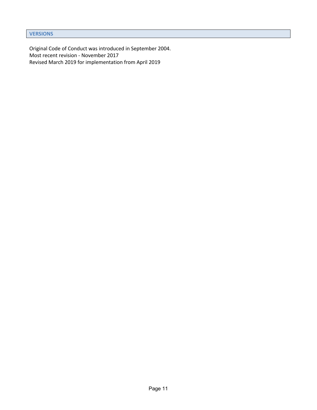```
VERSIONS
```
Original Code of Conduct was introduced in September 2004. Most recent revision - November 2017 Revised March 2019 for implementation from April 2019